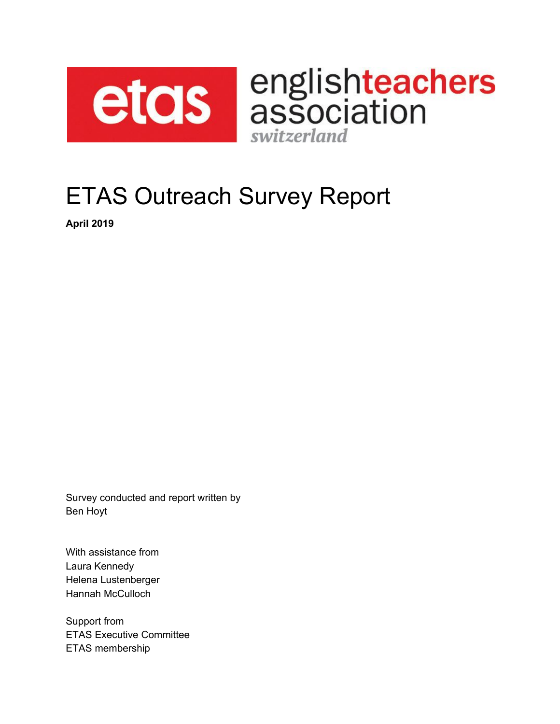

etcls association switzerland

# ETAS Outreach Survey Report

**April 2019**

Survey conducted and report written by Ben Hoyt

With assistance from Laura Kennedy Helena Lustenberger Hannah McCulloch

Support from ETAS Executive Committee ETAS membership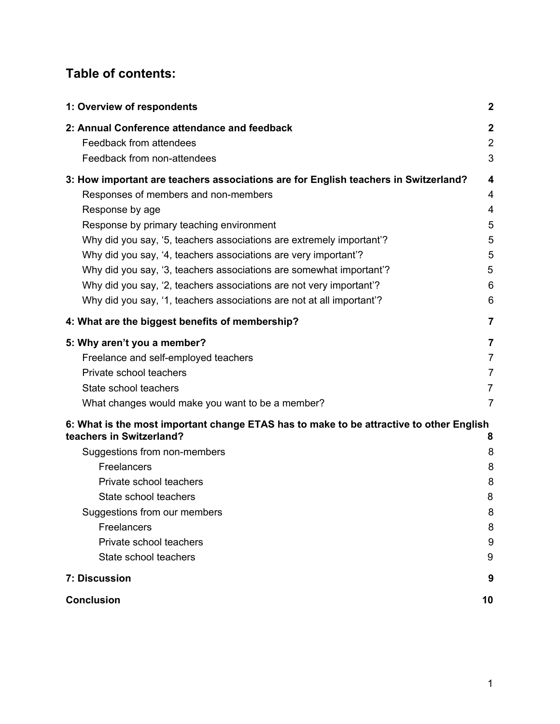#### **Table of contents:**

| 1: Overview of respondents                                                              | $\boldsymbol{2}$ |
|-----------------------------------------------------------------------------------------|------------------|
| 2: Annual Conference attendance and feedback                                            | $\boldsymbol{2}$ |
| Feedback from attendees                                                                 | $\overline{2}$   |
| Feedback from non-attendees                                                             | 3                |
| 3: How important are teachers associations are for English teachers in Switzerland?     | 4                |
| Responses of members and non-members                                                    | 4                |
| Response by age                                                                         | 4                |
| Response by primary teaching environment                                                | 5                |
| Why did you say, '5, teachers associations are extremely important'?                    | 5                |
| Why did you say, '4, teachers associations are very important'?                         | 5                |
| Why did you say, '3, teachers associations are somewhat important'?                     | 5                |
| Why did you say, '2, teachers associations are not very important'?                     | 6                |
| Why did you say, '1, teachers associations are not at all important'?                   | 6                |
| 4: What are the biggest benefits of membership?                                         | 7                |
| 5: Why aren't you a member?                                                             | 7                |
| Freelance and self-employed teachers                                                    | $\overline{7}$   |
| Private school teachers                                                                 | $\overline{7}$   |
| State school teachers                                                                   | $\overline{7}$   |
| What changes would make you want to be a member?                                        | $\overline{7}$   |
| 6: What is the most important change ETAS has to make to be attractive to other English |                  |
| teachers in Switzerland?                                                                | 8                |
| Suggestions from non-members                                                            | 8                |
| Freelancers                                                                             | 8                |
| Private school teachers                                                                 | 8                |
| State school teachers                                                                   | 8                |
| Suggestions from our members                                                            | 8                |
| Freelancers                                                                             | 8                |
| Private school teachers<br>State school teachers                                        | 9                |
|                                                                                         | 9                |
| 7: Discussion                                                                           | 9                |
| <b>Conclusion</b>                                                                       | 10               |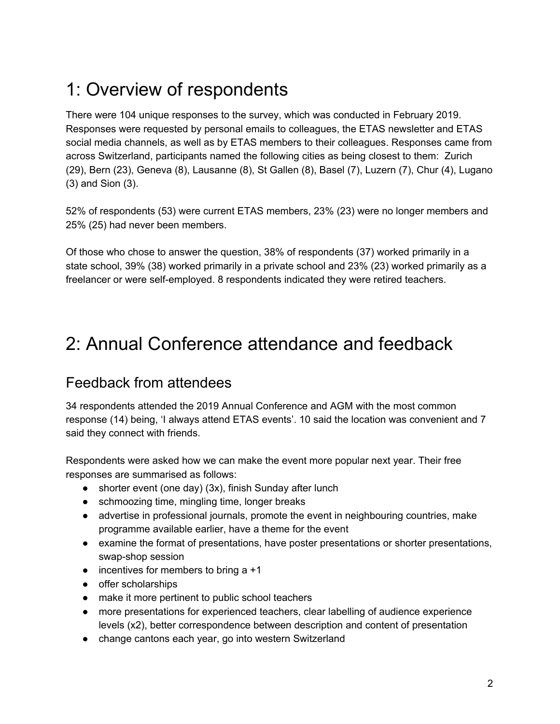## <span id="page-2-0"></span>1: Overview of respondents

There were 104 unique responses to the survey, which was conducted in February 2019. Responses were requested by personal emails to colleagues, the ETAS newsletter and ETAS social media channels, as well as by ETAS members to their colleagues. Responses came from across Switzerland, participants named the following cities as being closest to them: Zurich (29), Bern (23), Geneva (8), Lausanne (8), St Gallen (8), Basel (7), Luzern (7), Chur (4), Lugano (3) and Sion (3).

52% of respondents (53) were current ETAS members, 23% (23) were no longer members and 25% (25) had never been members.

Of those who chose to answer the question, 38% of respondents (37) worked primarily in a state school, 39% (38) worked primarily in a private school and 23% (23) worked primarily as a freelancer or were self-employed. 8 respondents indicated they were retired teachers.

### <span id="page-2-1"></span>2: Annual Conference attendance and feedback

#### <span id="page-2-2"></span>Feedback from attendees

34 respondents attended the 2019 Annual Conference and AGM with the most common response (14) being, 'I always attend ETAS events'. 10 said the location was convenient and 7 said they connect with friends.

Respondents were asked how we can make the event more popular next year. Their free responses are summarised as follows:

- shorter event (one day) (3x), finish Sunday after lunch
- schmoozing time, mingling time, longer breaks
- advertise in professional journals, promote the event in neighbouring countries, make programme available earlier, have a theme for the event
- examine the format of presentations, have poster presentations or shorter presentations, swap-shop session
- $\bullet$  incentives for members to bring a  $+1$
- offer scholarships
- make it more pertinent to public school teachers
- more presentations for experienced teachers, clear labelling of audience experience levels (x2), better correspondence between description and content of presentation
- change cantons each year, go into western Switzerland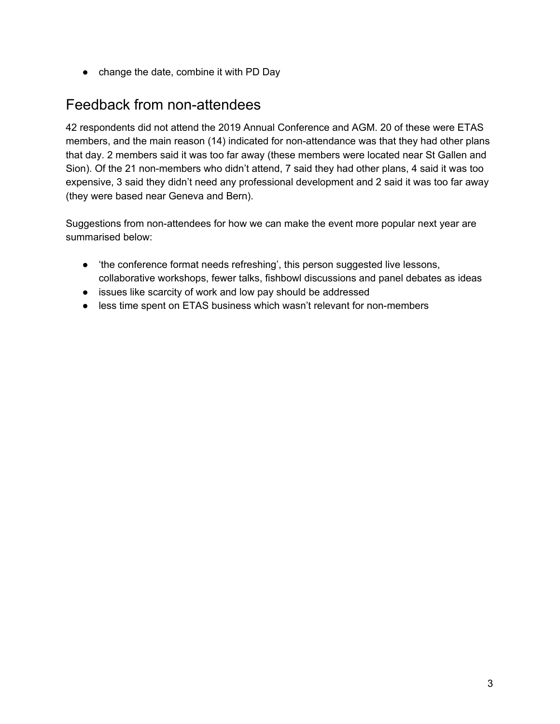● change the date, combine it with PD Day

#### <span id="page-3-0"></span>Feedback from non-attendees

42 respondents did not attend the 2019 Annual Conference and AGM. 20 of these were ETAS members, and the main reason (14) indicated for non-attendance was that they had other plans that day. 2 members said it was too far away (these members were located near St Gallen and Sion). Of the 21 non-members who didn't attend, 7 said they had other plans, 4 said it was too expensive, 3 said they didn't need any professional development and 2 said it was too far away (they were based near Geneva and Bern).

Suggestions from non-attendees for how we can make the event more popular next year are summarised below:

- 'the conference format needs refreshing', this person suggested live lessons, collaborative workshops, fewer talks, fishbowl discussions and panel debates as ideas
- issues like scarcity of work and low pay should be addressed
- less time spent on ETAS business which wasn't relevant for non-members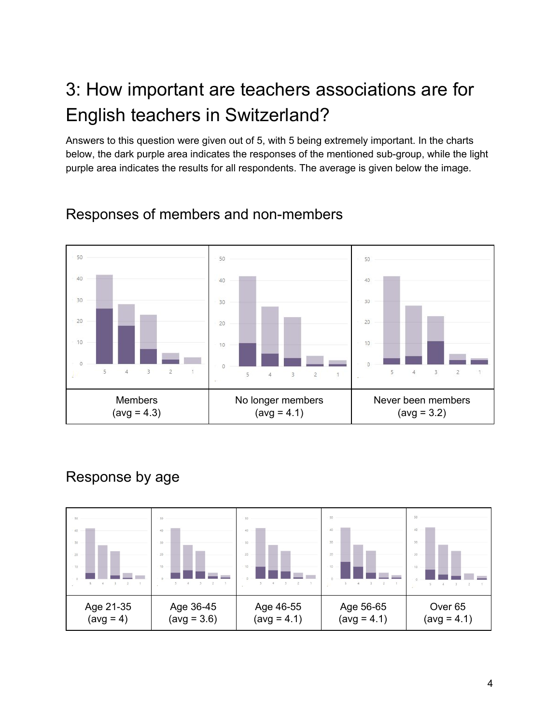## <span id="page-4-0"></span>3: How important are teachers associations are for English teachers in Switzerland?

Answers to this question were given out of 5, with 5 being extremely important. In the charts below, the dark purple area indicates the responses of the mentioned sub-group, while the light purple area indicates the results for all respondents. The average is given below the image.



#### <span id="page-4-1"></span>Responses of members and non-members

### <span id="page-4-2"></span>Response by age

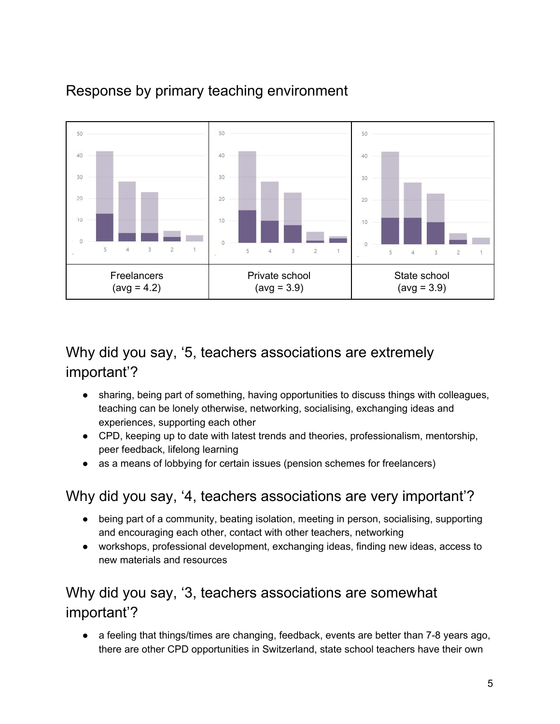

### <span id="page-5-0"></span>Response by primary teaching environment

#### <span id="page-5-1"></span>Why did you say, '5, teachers associations are extremely important'?

- sharing, being part of something, having opportunities to discuss things with colleagues, teaching can be lonely otherwise, networking, socialising, exchanging ideas and experiences, supporting each other
- CPD, keeping up to date with latest trends and theories, professionalism, mentorship, peer feedback, lifelong learning
- as a means of lobbying for certain issues (pension schemes for freelancers)

### <span id="page-5-2"></span>Why did you say, '4, teachers associations are very important'?

- being part of a community, beating isolation, meeting in person, socialising, supporting and encouraging each other, contact with other teachers, networking
- workshops, professional development, exchanging ideas, finding new ideas, access to new materials and resources

### <span id="page-5-3"></span>Why did you say, '3, teachers associations are somewhat important'?

● a feeling that things/times are changing, feedback, events are better than 7-8 years ago, there are other CPD opportunities in Switzerland, state school teachers have their own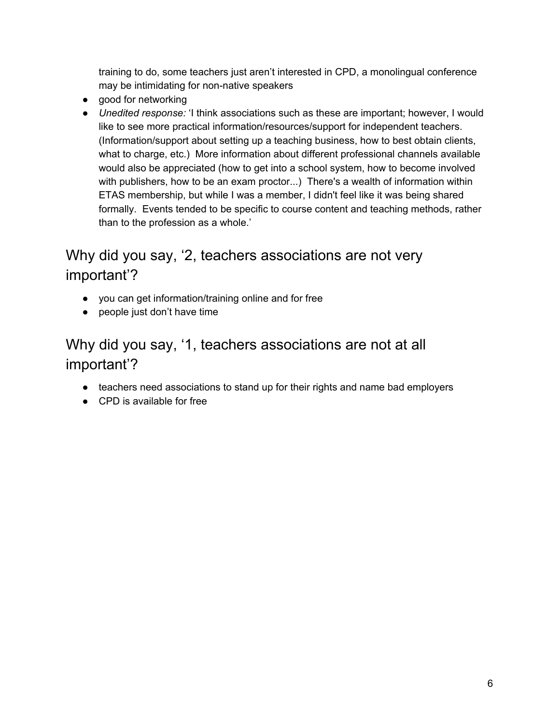training to do, some teachers just aren't interested in CPD, a monolingual conference may be intimidating for non-native speakers

- good for networking
- *Unedited response:* 'I think associations such as these are important; however, I would like to see more practical information/resources/support for independent teachers. (Information/support about setting up a teaching business, how to best obtain clients, what to charge, etc.) More information about different professional channels available would also be appreciated (how to get into a school system, how to become involved with publishers, how to be an exam proctor...) There's a wealth of information within ETAS membership, but while I was a member, I didn't feel like it was being shared formally. Events tended to be specific to course content and teaching methods, rather than to the profession as a whole.'

### <span id="page-6-0"></span>Why did you say, '2, teachers associations are not very important'?

- you can get information/training online and for free
- people just don't have time

### <span id="page-6-1"></span>Why did you say, '1, teachers associations are not at all important'?

- teachers need associations to stand up for their rights and name bad employers
- CPD is available for free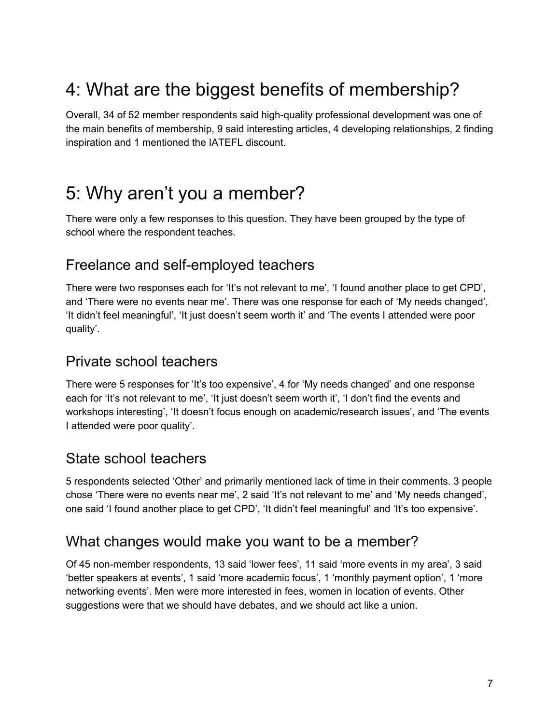## <span id="page-7-0"></span>4: What are the biggest benefits of membership?

Overall, 34 of 52 member respondents said high-quality professional development was one of the main benefits of membership, 9 said interesting articles, 4 developing relationships, 2 finding inspiration and 1 mentioned the IATEFL discount.

### <span id="page-7-1"></span>5: Why aren't you a member?

There were only a few responses to this question. They have been grouped by the type of school where the respondent teaches.

#### <span id="page-7-2"></span>Freelance and self-employed teachers

There were two responses each for 'It's not relevant to me', 'I found another place to get CPD', and 'There were no events near me'. There was one response for each of 'My needs changed', 'It didn't feel meaningful', 'It just doesn't seem worth it' and 'The events I attended were poor quality'.

#### <span id="page-7-3"></span>Private school teachers

There were 5 responses for 'It's too expensive', 4 for 'My needs changed' and one response each for 'It's not relevant to me', 'It just doesn't seem worth it', 'I don't find the events and workshops interesting', 'It doesn't focus enough on academic/research issues', and 'The events I attended were poor quality'.

#### <span id="page-7-4"></span>State school teachers

5 respondents selected 'Other' and primarily mentioned lack of time in their comments. 3 people chose 'There were no events near me', 2 said 'It's not relevant to me' and 'My needs changed', one said 'I found another place to get CPD', 'It didn't feel meaningful' and 'It's too expensive'.

#### <span id="page-7-5"></span>What changes would make you want to be a member?

Of 45 non-member respondents, 13 said 'lower fees', 11 said 'more events in my area', 3 said 'better speakers at events', 1 said 'more academic focus', 1 'monthly payment option', 1 'more networking events'. Men were more interested in fees, women in location of events. Other suggestions were that we should have debates, and we should act like a union.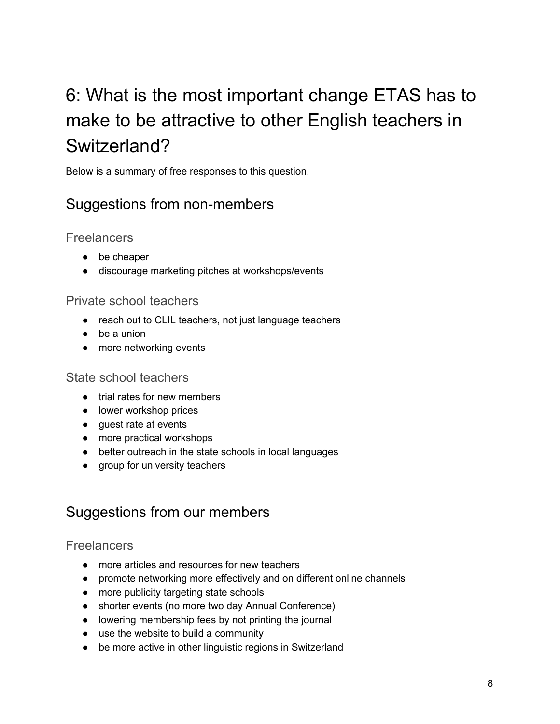## <span id="page-8-0"></span>6: What is the most important change ETAS has to make to be attractive to other English teachers in Switzerland?

<span id="page-8-1"></span>Below is a summary of free responses to this question.

#### Suggestions from non-members

<span id="page-8-2"></span>**Freelancers** 

- be cheaper
- discourage marketing pitches at workshops/events

#### <span id="page-8-3"></span>Private school teachers

- reach out to CLIL teachers, not just language teachers
- be a union
- more networking events

#### <span id="page-8-4"></span>State school teachers

- trial rates for new members
- lower workshop prices
- guest rate at events
- more practical workshops
- better outreach in the state schools in local languages
- group for university teachers

#### <span id="page-8-5"></span>Suggestions from our members

#### <span id="page-8-6"></span>**Freelancers**

- more articles and resources for new teachers
- promote networking more effectively and on different online channels
- more publicity targeting state schools
- shorter events (no more two day Annual Conference)
- lowering membership fees by not printing the journal
- use the website to build a community
- be more active in other linguistic regions in Switzerland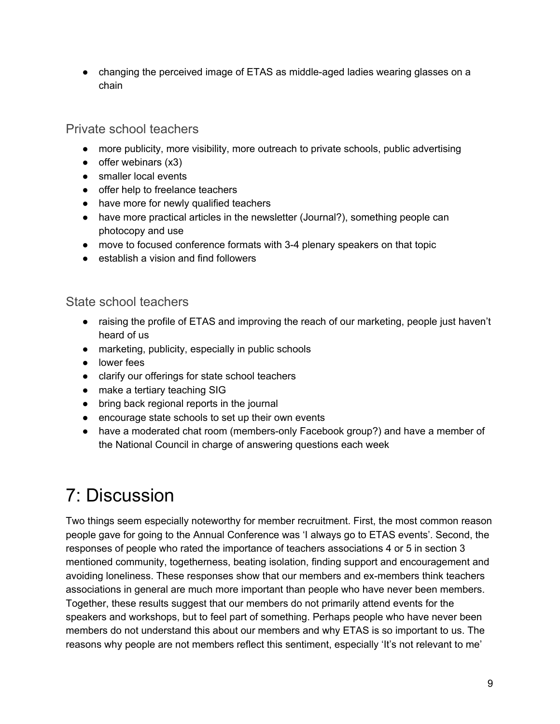● changing the perceived image of ETAS as middle-aged ladies wearing glasses on a chain

#### <span id="page-9-0"></span>Private school teachers

- more publicity, more visibility, more outreach to private schools, public advertising
- $\bullet$  offer webinars  $(x3)$
- smaller local events
- offer help to freelance teachers
- have more for newly qualified teachers
- have more practical articles in the newsletter (Journal?), something people can photocopy and use
- move to focused conference formats with 3-4 plenary speakers on that topic
- establish a vision and find followers

#### <span id="page-9-1"></span>State school teachers

- raising the profile of ETAS and improving the reach of our marketing, people just haven't heard of us
- marketing, publicity, especially in public schools
- lower fees
- clarify our offerings for state school teachers
- make a tertiary teaching SIG
- bring back regional reports in the journal
- encourage state schools to set up their own events
- have a moderated chat room (members-only Facebook group?) and have a member of the National Council in charge of answering questions each week

## <span id="page-9-2"></span>7: Discussion

Two things seem especially noteworthy for member recruitment. First, the most common reason people gave for going to the Annual Conference was 'I always go to ETAS events'. Second, the responses of people who rated the importance of teachers associations 4 or 5 in section 3 mentioned community, togetherness, beating isolation, finding support and encouragement and avoiding loneliness. These responses show that our members and ex-members think teachers associations in general are much more important than people who have never been members. Together, these results suggest that our members do not primarily attend events for the speakers and workshops, but to feel part of something. Perhaps people who have never been members do not understand this about our members and why ETAS is so important to us. The reasons why people are not members reflect this sentiment, especially 'It's not relevant to me'